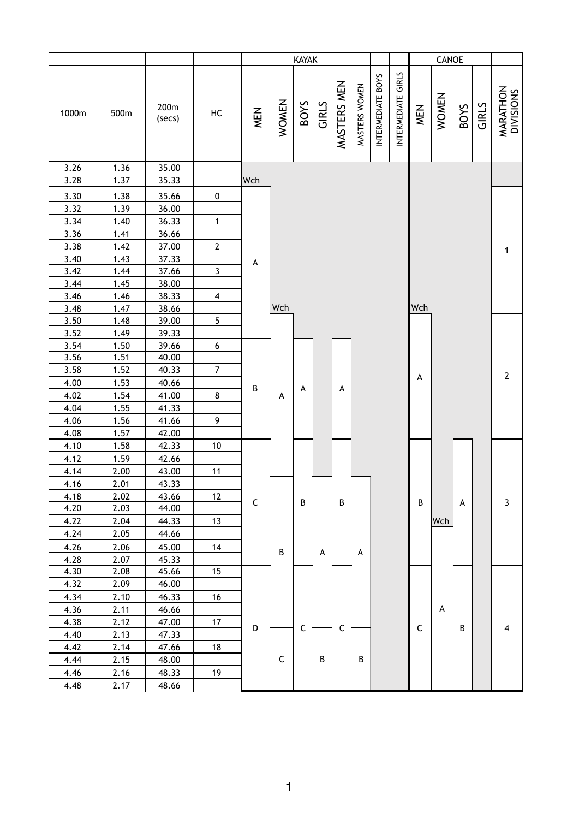| INTERMEDIATE GIRLS<br>INTERMEDIATE BOYS<br>MASTERS MEN<br>MASTERS WOMEN<br><b>MARATHON</b><br>DIVISIONS<br><b>WOMEN</b><br><b>WOMEN</b><br><b>BOYS</b><br>GIRLS<br>GIRLS<br><b>SOVS</b><br>200m<br><b>MEN</b><br>MEN<br>1000m<br>500m<br>HC<br>(secs)<br>3.26<br>1.36<br>35.00<br>3.28<br>1.37<br>Wch<br>35.33<br>3.30<br>1.38<br>35.66<br>$\pmb{0}$<br>3.32<br>1.39<br>36.00<br>3.34<br>$\mathbf 1$<br>1.40<br>36.33<br>3.36<br>1.41<br>36.66<br>$\mathbf{2}$<br>3.38<br>1.42<br>37.00<br>1<br>3.40<br>1.43<br>37.33<br>A<br>$\mathbf{3}$<br>3.42<br>1.44<br>37.66<br>3.44<br>1.45<br>38.00<br>3.46<br>1.46<br>38.33<br>$\overline{\mathbf{4}}$<br>Wch<br>Wch<br>38.66<br>3.48<br>1.47<br>3.50<br>1.48<br>5<br>39.00<br>3.52<br>1.49<br>39.33<br>3.54<br>1.50<br>39.66<br>6<br>3.56<br>1.51<br>40.00<br>$\overline{7}$<br>3.58<br>1.52<br>40.33<br>$\mathbf 2$<br>A<br>1.53<br>4.00<br>40.66<br>B<br>А<br>A<br>4.02<br>1.54<br>8<br>41.00<br>A<br>4.04<br>1.55<br>41.33<br>1.56<br>9<br>4.06<br>41.66<br>4.08<br>1.57<br>42.00<br>4.10<br>1.58<br>42.33<br>$10$<br>4.12<br>1.59<br>42.66<br>2.00<br>4.14<br>43.00<br>11<br>4.16<br>2.01<br>43.33<br>4.18<br>2.02<br>43.66<br>12<br>$\mathsf C$<br>3<br>B<br>B<br>В<br>А<br>4.20<br>2.03<br>44.00<br>4.22<br>2.04<br>13<br>Wch<br>44.33<br>4.24<br>2.05<br>44.66<br>4.26<br>45.00<br>14<br>2.06<br>$\sf B$<br>А<br>A<br>4.28<br>2.07<br>45.33<br>4.30<br>2.08<br>45.66<br>15<br>4.32<br>2.09<br>46.00<br>4.34<br>2.10<br>46.33<br>16<br>4.36<br>2.11<br>А<br>46.66<br>4.38<br>2.12<br>17<br>47.00<br>$\mathsf C$<br>$\mathsf C$<br>$\mathsf C$<br>D<br>4<br>В<br>2.13<br>4.40<br>47.33<br>4.42<br>2.14<br>47.66<br>18<br>C<br>B<br>В<br>4.44<br>2.15<br>48.00<br>4.46<br>2.16<br>48.33<br>19 |      |      |       | KAYAK |  |  |  | CANOE |  |  |  |  |  |  |  |
|----------------------------------------------------------------------------------------------------------------------------------------------------------------------------------------------------------------------------------------------------------------------------------------------------------------------------------------------------------------------------------------------------------------------------------------------------------------------------------------------------------------------------------------------------------------------------------------------------------------------------------------------------------------------------------------------------------------------------------------------------------------------------------------------------------------------------------------------------------------------------------------------------------------------------------------------------------------------------------------------------------------------------------------------------------------------------------------------------------------------------------------------------------------------------------------------------------------------------------------------------------------------------------------------------------------------------------------------------------------------------------------------------------------------------------------------------------------------------------------------------------------------------------------------------------------------------------------------------------------------------------------------------------------------------------------------------------------------------------------------|------|------|-------|-------|--|--|--|-------|--|--|--|--|--|--|--|
|                                                                                                                                                                                                                                                                                                                                                                                                                                                                                                                                                                                                                                                                                                                                                                                                                                                                                                                                                                                                                                                                                                                                                                                                                                                                                                                                                                                                                                                                                                                                                                                                                                                                                                                                              |      |      |       |       |  |  |  |       |  |  |  |  |  |  |  |
|                                                                                                                                                                                                                                                                                                                                                                                                                                                                                                                                                                                                                                                                                                                                                                                                                                                                                                                                                                                                                                                                                                                                                                                                                                                                                                                                                                                                                                                                                                                                                                                                                                                                                                                                              |      |      |       |       |  |  |  |       |  |  |  |  |  |  |  |
|                                                                                                                                                                                                                                                                                                                                                                                                                                                                                                                                                                                                                                                                                                                                                                                                                                                                                                                                                                                                                                                                                                                                                                                                                                                                                                                                                                                                                                                                                                                                                                                                                                                                                                                                              |      |      |       |       |  |  |  |       |  |  |  |  |  |  |  |
|                                                                                                                                                                                                                                                                                                                                                                                                                                                                                                                                                                                                                                                                                                                                                                                                                                                                                                                                                                                                                                                                                                                                                                                                                                                                                                                                                                                                                                                                                                                                                                                                                                                                                                                                              |      |      |       |       |  |  |  |       |  |  |  |  |  |  |  |
|                                                                                                                                                                                                                                                                                                                                                                                                                                                                                                                                                                                                                                                                                                                                                                                                                                                                                                                                                                                                                                                                                                                                                                                                                                                                                                                                                                                                                                                                                                                                                                                                                                                                                                                                              |      |      |       |       |  |  |  |       |  |  |  |  |  |  |  |
|                                                                                                                                                                                                                                                                                                                                                                                                                                                                                                                                                                                                                                                                                                                                                                                                                                                                                                                                                                                                                                                                                                                                                                                                                                                                                                                                                                                                                                                                                                                                                                                                                                                                                                                                              |      |      |       |       |  |  |  |       |  |  |  |  |  |  |  |
|                                                                                                                                                                                                                                                                                                                                                                                                                                                                                                                                                                                                                                                                                                                                                                                                                                                                                                                                                                                                                                                                                                                                                                                                                                                                                                                                                                                                                                                                                                                                                                                                                                                                                                                                              |      |      |       |       |  |  |  |       |  |  |  |  |  |  |  |
|                                                                                                                                                                                                                                                                                                                                                                                                                                                                                                                                                                                                                                                                                                                                                                                                                                                                                                                                                                                                                                                                                                                                                                                                                                                                                                                                                                                                                                                                                                                                                                                                                                                                                                                                              |      |      |       |       |  |  |  |       |  |  |  |  |  |  |  |
|                                                                                                                                                                                                                                                                                                                                                                                                                                                                                                                                                                                                                                                                                                                                                                                                                                                                                                                                                                                                                                                                                                                                                                                                                                                                                                                                                                                                                                                                                                                                                                                                                                                                                                                                              |      |      |       |       |  |  |  |       |  |  |  |  |  |  |  |
|                                                                                                                                                                                                                                                                                                                                                                                                                                                                                                                                                                                                                                                                                                                                                                                                                                                                                                                                                                                                                                                                                                                                                                                                                                                                                                                                                                                                                                                                                                                                                                                                                                                                                                                                              |      |      |       |       |  |  |  |       |  |  |  |  |  |  |  |
|                                                                                                                                                                                                                                                                                                                                                                                                                                                                                                                                                                                                                                                                                                                                                                                                                                                                                                                                                                                                                                                                                                                                                                                                                                                                                                                                                                                                                                                                                                                                                                                                                                                                                                                                              |      |      |       |       |  |  |  |       |  |  |  |  |  |  |  |
|                                                                                                                                                                                                                                                                                                                                                                                                                                                                                                                                                                                                                                                                                                                                                                                                                                                                                                                                                                                                                                                                                                                                                                                                                                                                                                                                                                                                                                                                                                                                                                                                                                                                                                                                              |      |      |       |       |  |  |  |       |  |  |  |  |  |  |  |
|                                                                                                                                                                                                                                                                                                                                                                                                                                                                                                                                                                                                                                                                                                                                                                                                                                                                                                                                                                                                                                                                                                                                                                                                                                                                                                                                                                                                                                                                                                                                                                                                                                                                                                                                              |      |      |       |       |  |  |  |       |  |  |  |  |  |  |  |
|                                                                                                                                                                                                                                                                                                                                                                                                                                                                                                                                                                                                                                                                                                                                                                                                                                                                                                                                                                                                                                                                                                                                                                                                                                                                                                                                                                                                                                                                                                                                                                                                                                                                                                                                              |      |      |       |       |  |  |  |       |  |  |  |  |  |  |  |
|                                                                                                                                                                                                                                                                                                                                                                                                                                                                                                                                                                                                                                                                                                                                                                                                                                                                                                                                                                                                                                                                                                                                                                                                                                                                                                                                                                                                                                                                                                                                                                                                                                                                                                                                              |      |      |       |       |  |  |  |       |  |  |  |  |  |  |  |
|                                                                                                                                                                                                                                                                                                                                                                                                                                                                                                                                                                                                                                                                                                                                                                                                                                                                                                                                                                                                                                                                                                                                                                                                                                                                                                                                                                                                                                                                                                                                                                                                                                                                                                                                              |      |      |       |       |  |  |  |       |  |  |  |  |  |  |  |
|                                                                                                                                                                                                                                                                                                                                                                                                                                                                                                                                                                                                                                                                                                                                                                                                                                                                                                                                                                                                                                                                                                                                                                                                                                                                                                                                                                                                                                                                                                                                                                                                                                                                                                                                              |      |      |       |       |  |  |  |       |  |  |  |  |  |  |  |
|                                                                                                                                                                                                                                                                                                                                                                                                                                                                                                                                                                                                                                                                                                                                                                                                                                                                                                                                                                                                                                                                                                                                                                                                                                                                                                                                                                                                                                                                                                                                                                                                                                                                                                                                              |      |      |       |       |  |  |  |       |  |  |  |  |  |  |  |
|                                                                                                                                                                                                                                                                                                                                                                                                                                                                                                                                                                                                                                                                                                                                                                                                                                                                                                                                                                                                                                                                                                                                                                                                                                                                                                                                                                                                                                                                                                                                                                                                                                                                                                                                              |      |      |       |       |  |  |  |       |  |  |  |  |  |  |  |
|                                                                                                                                                                                                                                                                                                                                                                                                                                                                                                                                                                                                                                                                                                                                                                                                                                                                                                                                                                                                                                                                                                                                                                                                                                                                                                                                                                                                                                                                                                                                                                                                                                                                                                                                              |      |      |       |       |  |  |  |       |  |  |  |  |  |  |  |
|                                                                                                                                                                                                                                                                                                                                                                                                                                                                                                                                                                                                                                                                                                                                                                                                                                                                                                                                                                                                                                                                                                                                                                                                                                                                                                                                                                                                                                                                                                                                                                                                                                                                                                                                              |      |      |       |       |  |  |  |       |  |  |  |  |  |  |  |
|                                                                                                                                                                                                                                                                                                                                                                                                                                                                                                                                                                                                                                                                                                                                                                                                                                                                                                                                                                                                                                                                                                                                                                                                                                                                                                                                                                                                                                                                                                                                                                                                                                                                                                                                              |      |      |       |       |  |  |  |       |  |  |  |  |  |  |  |
|                                                                                                                                                                                                                                                                                                                                                                                                                                                                                                                                                                                                                                                                                                                                                                                                                                                                                                                                                                                                                                                                                                                                                                                                                                                                                                                                                                                                                                                                                                                                                                                                                                                                                                                                              |      |      |       |       |  |  |  |       |  |  |  |  |  |  |  |
|                                                                                                                                                                                                                                                                                                                                                                                                                                                                                                                                                                                                                                                                                                                                                                                                                                                                                                                                                                                                                                                                                                                                                                                                                                                                                                                                                                                                                                                                                                                                                                                                                                                                                                                                              |      |      |       |       |  |  |  |       |  |  |  |  |  |  |  |
|                                                                                                                                                                                                                                                                                                                                                                                                                                                                                                                                                                                                                                                                                                                                                                                                                                                                                                                                                                                                                                                                                                                                                                                                                                                                                                                                                                                                                                                                                                                                                                                                                                                                                                                                              |      |      |       |       |  |  |  |       |  |  |  |  |  |  |  |
|                                                                                                                                                                                                                                                                                                                                                                                                                                                                                                                                                                                                                                                                                                                                                                                                                                                                                                                                                                                                                                                                                                                                                                                                                                                                                                                                                                                                                                                                                                                                                                                                                                                                                                                                              |      |      |       |       |  |  |  |       |  |  |  |  |  |  |  |
|                                                                                                                                                                                                                                                                                                                                                                                                                                                                                                                                                                                                                                                                                                                                                                                                                                                                                                                                                                                                                                                                                                                                                                                                                                                                                                                                                                                                                                                                                                                                                                                                                                                                                                                                              |      |      |       |       |  |  |  |       |  |  |  |  |  |  |  |
|                                                                                                                                                                                                                                                                                                                                                                                                                                                                                                                                                                                                                                                                                                                                                                                                                                                                                                                                                                                                                                                                                                                                                                                                                                                                                                                                                                                                                                                                                                                                                                                                                                                                                                                                              |      |      |       |       |  |  |  |       |  |  |  |  |  |  |  |
|                                                                                                                                                                                                                                                                                                                                                                                                                                                                                                                                                                                                                                                                                                                                                                                                                                                                                                                                                                                                                                                                                                                                                                                                                                                                                                                                                                                                                                                                                                                                                                                                                                                                                                                                              |      |      |       |       |  |  |  |       |  |  |  |  |  |  |  |
|                                                                                                                                                                                                                                                                                                                                                                                                                                                                                                                                                                                                                                                                                                                                                                                                                                                                                                                                                                                                                                                                                                                                                                                                                                                                                                                                                                                                                                                                                                                                                                                                                                                                                                                                              |      |      |       |       |  |  |  |       |  |  |  |  |  |  |  |
|                                                                                                                                                                                                                                                                                                                                                                                                                                                                                                                                                                                                                                                                                                                                                                                                                                                                                                                                                                                                                                                                                                                                                                                                                                                                                                                                                                                                                                                                                                                                                                                                                                                                                                                                              |      |      |       |       |  |  |  |       |  |  |  |  |  |  |  |
|                                                                                                                                                                                                                                                                                                                                                                                                                                                                                                                                                                                                                                                                                                                                                                                                                                                                                                                                                                                                                                                                                                                                                                                                                                                                                                                                                                                                                                                                                                                                                                                                                                                                                                                                              |      |      |       |       |  |  |  |       |  |  |  |  |  |  |  |
|                                                                                                                                                                                                                                                                                                                                                                                                                                                                                                                                                                                                                                                                                                                                                                                                                                                                                                                                                                                                                                                                                                                                                                                                                                                                                                                                                                                                                                                                                                                                                                                                                                                                                                                                              |      |      |       |       |  |  |  |       |  |  |  |  |  |  |  |
|                                                                                                                                                                                                                                                                                                                                                                                                                                                                                                                                                                                                                                                                                                                                                                                                                                                                                                                                                                                                                                                                                                                                                                                                                                                                                                                                                                                                                                                                                                                                                                                                                                                                                                                                              |      |      |       |       |  |  |  |       |  |  |  |  |  |  |  |
|                                                                                                                                                                                                                                                                                                                                                                                                                                                                                                                                                                                                                                                                                                                                                                                                                                                                                                                                                                                                                                                                                                                                                                                                                                                                                                                                                                                                                                                                                                                                                                                                                                                                                                                                              |      |      |       |       |  |  |  |       |  |  |  |  |  |  |  |
|                                                                                                                                                                                                                                                                                                                                                                                                                                                                                                                                                                                                                                                                                                                                                                                                                                                                                                                                                                                                                                                                                                                                                                                                                                                                                                                                                                                                                                                                                                                                                                                                                                                                                                                                              |      |      |       |       |  |  |  |       |  |  |  |  |  |  |  |
|                                                                                                                                                                                                                                                                                                                                                                                                                                                                                                                                                                                                                                                                                                                                                                                                                                                                                                                                                                                                                                                                                                                                                                                                                                                                                                                                                                                                                                                                                                                                                                                                                                                                                                                                              |      |      |       |       |  |  |  |       |  |  |  |  |  |  |  |
|                                                                                                                                                                                                                                                                                                                                                                                                                                                                                                                                                                                                                                                                                                                                                                                                                                                                                                                                                                                                                                                                                                                                                                                                                                                                                                                                                                                                                                                                                                                                                                                                                                                                                                                                              |      |      |       |       |  |  |  |       |  |  |  |  |  |  |  |
|                                                                                                                                                                                                                                                                                                                                                                                                                                                                                                                                                                                                                                                                                                                                                                                                                                                                                                                                                                                                                                                                                                                                                                                                                                                                                                                                                                                                                                                                                                                                                                                                                                                                                                                                              |      |      |       |       |  |  |  |       |  |  |  |  |  |  |  |
|                                                                                                                                                                                                                                                                                                                                                                                                                                                                                                                                                                                                                                                                                                                                                                                                                                                                                                                                                                                                                                                                                                                                                                                                                                                                                                                                                                                                                                                                                                                                                                                                                                                                                                                                              |      |      |       |       |  |  |  |       |  |  |  |  |  |  |  |
|                                                                                                                                                                                                                                                                                                                                                                                                                                                                                                                                                                                                                                                                                                                                                                                                                                                                                                                                                                                                                                                                                                                                                                                                                                                                                                                                                                                                                                                                                                                                                                                                                                                                                                                                              |      |      |       |       |  |  |  |       |  |  |  |  |  |  |  |
|                                                                                                                                                                                                                                                                                                                                                                                                                                                                                                                                                                                                                                                                                                                                                                                                                                                                                                                                                                                                                                                                                                                                                                                                                                                                                                                                                                                                                                                                                                                                                                                                                                                                                                                                              | 4.48 | 2.17 | 48.66 |       |  |  |  |       |  |  |  |  |  |  |  |